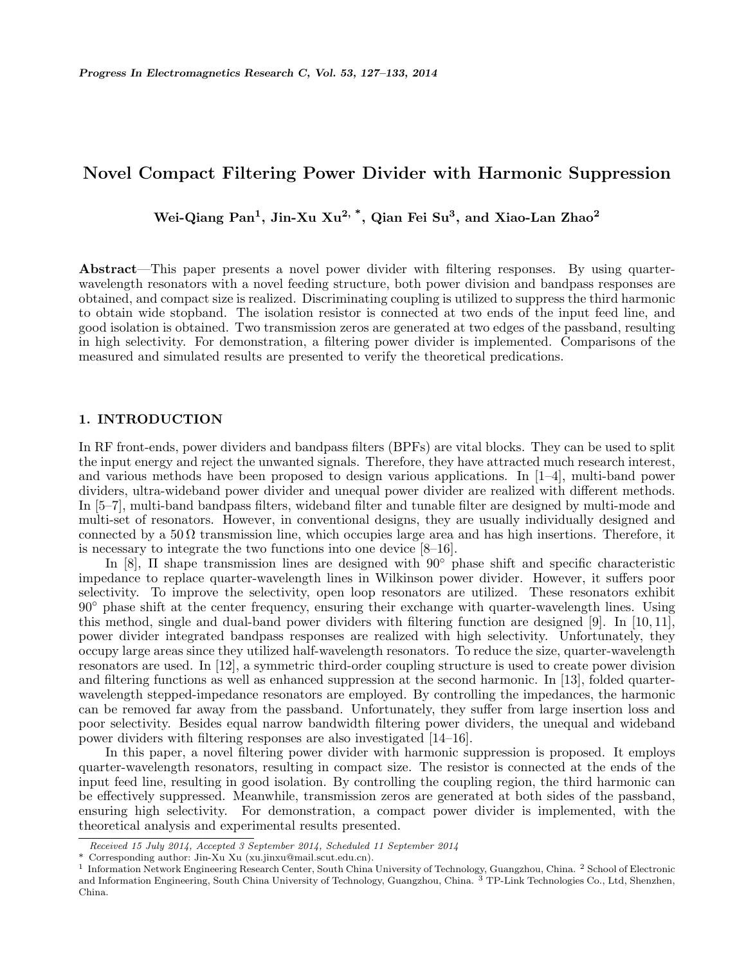# Novel Compact Filtering Power Divider with Harmonic Suppression

Wei-Qiang Pan<sup>1</sup>, Jin-Xu Xu<sup>2,</sup> \*, Qian Fei Su<sup>3</sup>, and Xiao-Lan Zhao<sup>2</sup>

Abstract—This paper presents a novel power divider with filtering responses. By using quarterwavelength resonators with a novel feeding structure, both power division and bandpass responses are obtained, and compact size is realized. Discriminating coupling is utilized to suppress the third harmonic to obtain wide stopband. The isolation resistor is connected at two ends of the input feed line, and good isolation is obtained. Two transmission zeros are generated at two edges of the passband, resulting in high selectivity. For demonstration, a filtering power divider is implemented. Comparisons of the measured and simulated results are presented to verify the theoretical predications.

### 1. INTRODUCTION

In RF front-ends, power dividers and bandpass filters (BPFs) are vital blocks. They can be used to split the input energy and reject the unwanted signals. Therefore, they have attracted much research interest, and various methods have been proposed to design various applications. In [1–4], multi-band power dividers, ultra-wideband power divider and unequal power divider are realized with different methods. In [5–7], multi-band bandpass filters, wideband filter and tunable filter are designed by multi-mode and multi-set of resonators. However, in conventional designs, they are usually individually designed and connected by a  $50\Omega$  transmission line, which occupies large area and has high insertions. Therefore, it is necessary to integrate the two functions into one device [8–16].

In [8],  $\Pi$  shape transmission lines are designed with 90<sup>°</sup> phase shift and specific characteristic impedance to replace quarter-wavelength lines in Wilkinson power divider. However, it suffers poor selectivity. To improve the selectivity, open loop resonators are utilized. These resonators exhibit 90◦ phase shift at the center frequency, ensuring their exchange with quarter-wavelength lines. Using this method, single and dual-band power dividers with filtering function are designed [9]. In [10, 11], power divider integrated bandpass responses are realized with high selectivity. Unfortunately, they occupy large areas since they utilized half-wavelength resonators. To reduce the size, quarter-wavelength resonators are used. In [12], a symmetric third-order coupling structure is used to create power division and filtering functions as well as enhanced suppression at the second harmonic. In [13], folded quarterwavelength stepped-impedance resonators are employed. By controlling the impedances, the harmonic can be removed far away from the passband. Unfortunately, they suffer from large insertion loss and poor selectivity. Besides equal narrow bandwidth filtering power dividers, the unequal and wideband power dividers with filtering responses are also investigated [14–16].

In this paper, a novel filtering power divider with harmonic suppression is proposed. It employs quarter-wavelength resonators, resulting in compact size. The resistor is connected at the ends of the input feed line, resulting in good isolation. By controlling the coupling region, the third harmonic can be effectively suppressed. Meanwhile, transmission zeros are generated at both sides of the passband, ensuring high selectivity. For demonstration, a compact power divider is implemented, with the theoretical analysis and experimental results presented.

Received 15 July 2014, Accepted 3 September 2014, Scheduled 11 September 2014

<sup>\*</sup> Corresponding author: Jin-Xu Xu (xu.jinxu@mail.scut.edu.cn).

<sup>&</sup>lt;sup>1</sup> Information Network Engineering Research Center, South China University of Technology, Guangzhou, China. <sup>2</sup> School of Electronic and Information Engineering, South China University of Technology, Guangzhou, China. <sup>3</sup> TP-Link Technologies Co., Ltd, Shenzhen, China.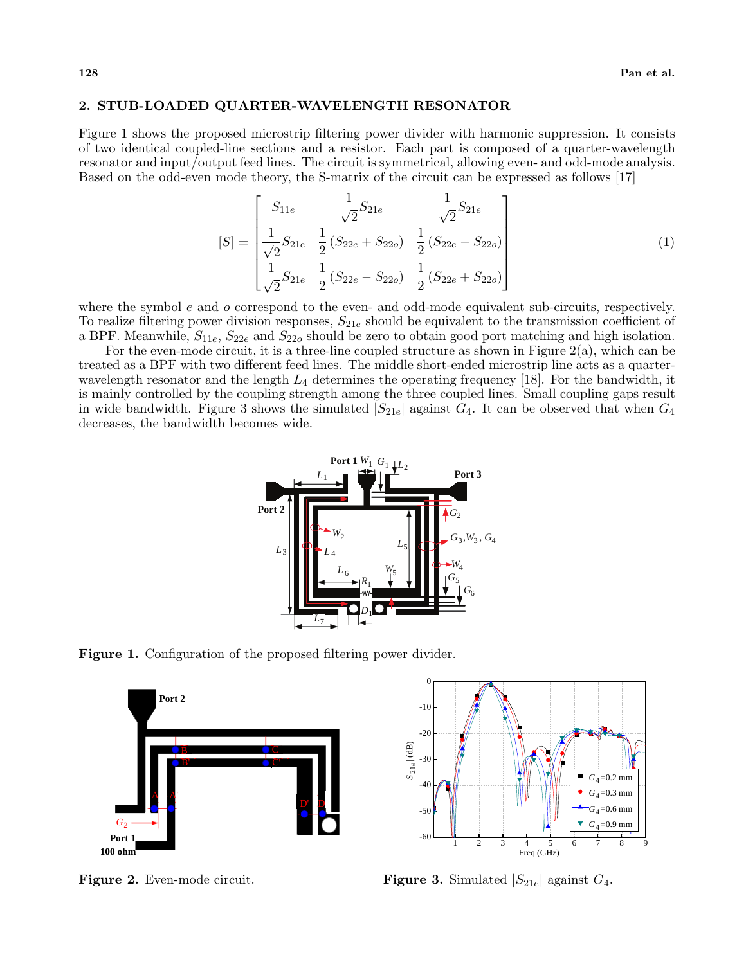### 2. STUB-LOADED QUARTER-WAVELENGTH RESONATOR

Figure 1 shows the proposed microstrip filtering power divider with harmonic suppression. It consists of two identical coupled-line sections and a resistor. Each part is composed of a quarter-wavelength resonator and input/output feed lines. The circuit is symmetrical, allowing even- and odd-mode analysis. Based on the odd-even mode theory, the S-matrix of the circuit can be expressed as follows [17]

$$
[S] = \begin{bmatrix} S_{11e} & \frac{1}{\sqrt{2}} S_{21e} & \frac{1}{\sqrt{2}} S_{21e} \\ \frac{1}{\sqrt{2}} S_{21e} & \frac{1}{2} \left( S_{22e} + S_{22o} \right) & \frac{1}{2} \left( S_{22e} - S_{22o} \right) \\ \frac{1}{\sqrt{2}} S_{21e} & \frac{1}{2} \left( S_{22e} - S_{22o} \right) & \frac{1}{2} \left( S_{22e} + S_{22o} \right) \end{bmatrix}
$$
(1)

where the symbol  $e$  and  $o$  correspond to the even- and odd-mode equivalent sub-circuits, respectively. To realize filtering power division responses,  $S_{21e}$  should be equivalent to the transmission coefficient of a BPF. Meanwhile,  $S_{11e}$ ,  $S_{22e}$  and  $S_{22o}$  should be zero to obtain good port matching and high isolation.

For the even-mode circuit, it is a three-line coupled structure as shown in Figure  $2(a)$ , which can be treated as a BPF with two different feed lines. The middle short-ended microstrip line acts as a quarterwavelength resonator and the length  $L_4$  determines the operating frequency [18]. For the bandwidth, it is mainly controlled by the coupling strength among the three coupled lines. Small coupling gaps result in wide bandwidth. Figure 3 shows the simulated  $|S_{21e}|$  against  $G_4$ . It can be observed that when  $G_4$ decreases, the bandwidth becomes wide.



Figure 1. Configuration of the proposed filtering power divider.



Figure 2. Even-mode circuit.



**Figure 3.** Simulated  $|S_{21e}|$  against  $G_4$ .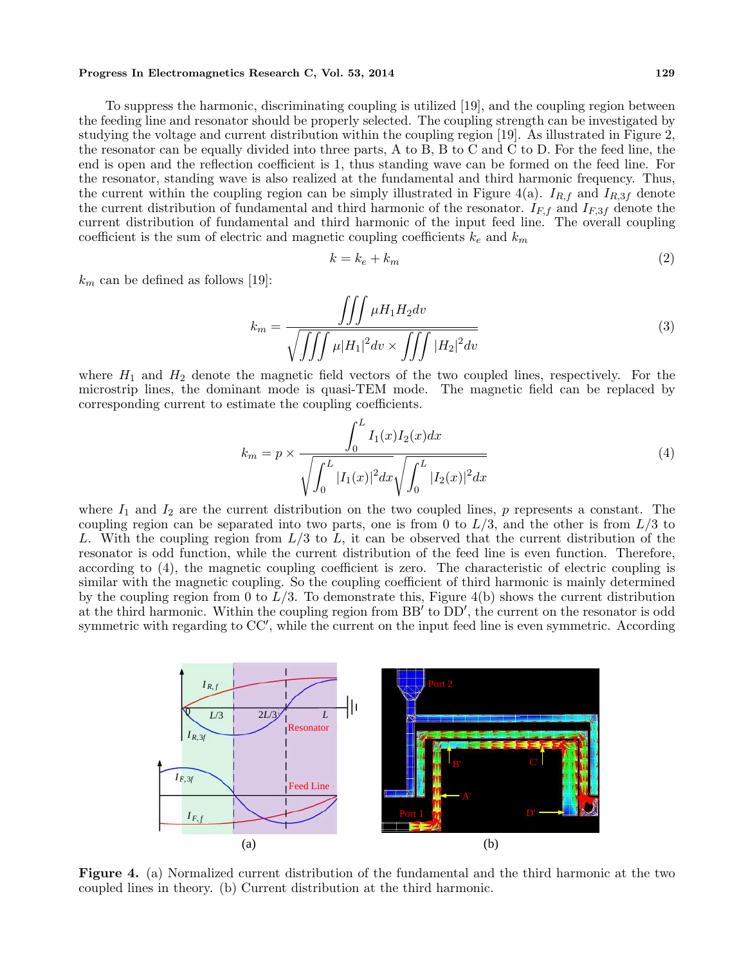#### Progress In Electromagnetics Research C, Vol. 53, 2014 129

To suppress the harmonic, discriminating coupling is utilized [19], and the coupling region between the feeding line and resonator should be properly selected. The coupling strength can be investigated by studying the voltage and current distribution within the coupling region [19]. As illustrated in Figure 2, the resonator can be equally divided into three parts, A to B, B to C and C to D. For the feed line, the end is open and the reflection coefficient is 1, thus standing wave can be formed on the feed line. For the resonator, standing wave is also realized at the fundamental and third harmonic frequency. Thus, the current within the coupling region can be simply illustrated in Figure 4(a).  $I_{R,f}$  and  $I_{R,3f}$  denote the current distribution of fundamental and third harmonic of the resonator.  $I_{F,f}$  and  $I_{F,3f}$  denote the current distribution of fundamental and third harmonic of the input feed line. The overall coupling coefficient is the sum of electric and magnetic coupling coefficients  $k_e$  and  $k_m$ 

$$
k = k_e + k_m \tag{2}
$$

 $k_m$  can be defined as follows [19]:

$$
k_m = \frac{\iiint \mu H_1 H_2 dv}{\sqrt{\iiint \mu |H_1|^2 dv \times \iiint |H_2|^2 dv}} \tag{3}
$$

where  $H_1$  and  $H_2$  denote the magnetic field vectors of the two coupled lines, respectively. For the microstrip lines, the dominant mode is quasi-TEM mode. The magnetic field can be replaced by corresponding current to estimate the coupling coefficients.

$$
k_m = p \times \frac{\int_0^L I_1(x)I_2(x)dx}{\sqrt{\int_0^L |I_1(x)|^2 dx} \sqrt{\int_0^L |I_2(x)|^2 dx}} \tag{4}
$$

where  $I_1$  and  $I_2$  are the current distribution on the two coupled lines, p represents a constant. The coupling region can be separated into two parts, one is from 0 to  $L/3$ , and the other is from  $L/3$  to L. With the coupling region from  $L/3$  to L, it can be observed that the current distribution of the resonator is odd function, while the current distribution of the feed line is even function. Therefore, according to (4), the magnetic coupling coefficient is zero. The characteristic of electric coupling is similar with the magnetic coupling. So the coupling coefficient of third harmonic is mainly determined by the coupling region from 0 to  $L/3$ . To demonstrate this, Figure 4(b) shows the current distribution at the third harmonic. Within the coupling region from  $BB'$  to  $DD'$ , the current on the resonator is odd symmetric with regarding to  $CC'$ , while the current on the input feed line is even symmetric. According



Figure 4. (a) Normalized current distribution of the fundamental and the third harmonic at the two coupled lines in theory. (b) Current distribution at the third harmonic.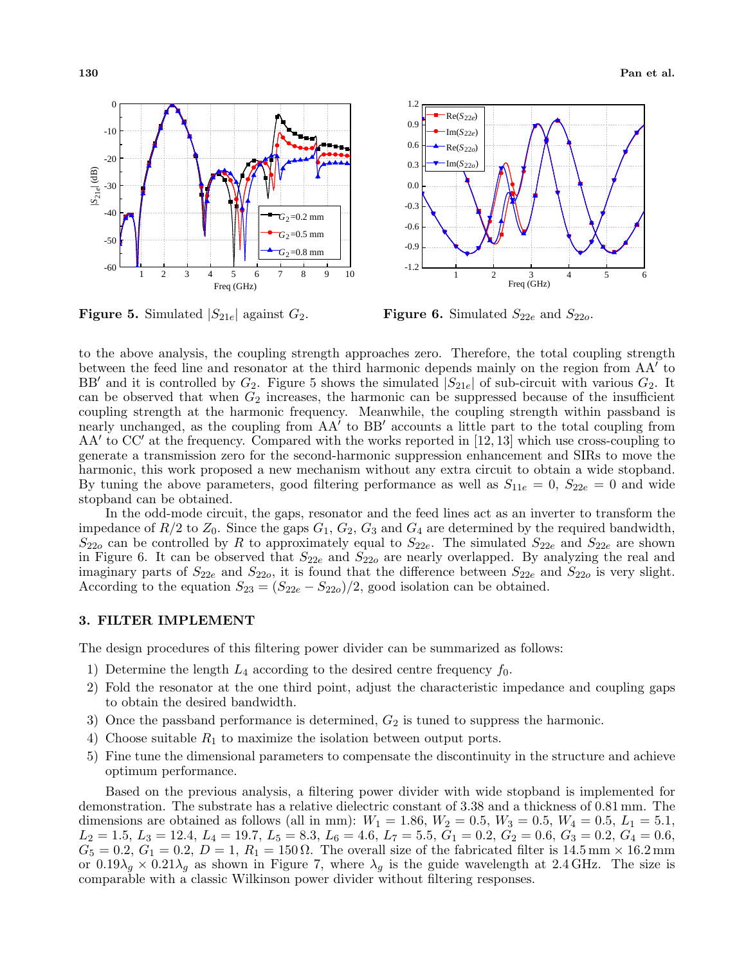

**Figure 5.** Simulated  $|S_{21e}|$  against  $G_2$ .

**Figure 6.** Simulated  $S_{22e}$  and  $S_{22o}$ .

to the above analysis, the coupling strength approaches zero. Therefore, the total coupling strength between the feed line and resonator at the third harmonic depends mainly on the region from AA' to BB' and it is controlled by  $G_2$ . Figure 5 shows the simulated  $|S_{21e}|$  of sub-circuit with various  $G_2$ . It can be observed that when  $G_2$  increases, the harmonic can be suppressed because of the insufficient coupling strength at the harmonic frequency. Meanwhile, the coupling strength within passband is nearly unchanged, as the coupling from  $AA'$  to BB' accounts a little part to the total coupling from  $AA'$  to CC' at the frequency. Compared with the works reported in [12, 13] which use cross-coupling to generate a transmission zero for the second-harmonic suppression enhancement and SIRs to move the harmonic, this work proposed a new mechanism without any extra circuit to obtain a wide stopband. By tuning the above parameters, good filtering performance as well as  $S_{11e} = 0$ ,  $S_{22e} = 0$  and wide stopband can be obtained.

In the odd-mode circuit, the gaps, resonator and the feed lines act as an inverter to transform the impedance of  $R/2$  to  $Z_0$ . Since the gaps  $G_1, G_2, G_3$  and  $G_4$  are determined by the required bandwidth,  $S_{22o}$  can be controlled by R to approximately equal to  $S_{22e}$ . The simulated  $S_{22e}$  and  $S_{22e}$  are shown in Figure 6. It can be observed that  $S_{22e}$  and  $S_{22o}$  are nearly overlapped. By analyzing the real and imaginary parts of  $S_{22e}$  and  $S_{22o}$ , it is found that the difference between  $S_{22e}$  and  $S_{22o}$  is very slight. According to the equation  $S_{23} = (S_{22e} - S_{22o})/2$ , good isolation can be obtained.

#### 3. FILTER IMPLEMENT

The design procedures of this filtering power divider can be summarized as follows:

- 1) Determine the length  $L_4$  according to the desired centre frequency  $f_0$ .
- 2) Fold the resonator at the one third point, adjust the characteristic impedance and coupling gaps to obtain the desired bandwidth.
- 3) Once the passband performance is determined,  $G_2$  is tuned to suppress the harmonic.
- 4) Choose suitable  $R_1$  to maximize the isolation between output ports.
- 5) Fine tune the dimensional parameters to compensate the discontinuity in the structure and achieve optimum performance.

Based on the previous analysis, a filtering power divider with wide stopband is implemented for demonstration. The substrate has a relative dielectric constant of 3.38 and a thickness of 0.81 mm. The dimensions are obtained as follows (all in mm):  $W_1 = 1.86, W_2 = 0.5, W_3 = 0.5, W_4 = 0.5, L_1 = 5.1,$  $L_2 = 1.5, L_3 = 12.4, L_4 = 19.7, L_5 = 8.3, L_6 = 4.6, L_7 = 5.5, G_1 = 0.2, G_2 = 0.6, G_3 = 0.2, G_4 = 0.6,$  $G_5 = 0.2, G_1 = 0.2, D = 1, R_1 = 150 \Omega$ . The overall size of the fabricated filter is 14.5 mm × 16.2 mm or  $0.19\lambda_q \times 0.21\lambda_q$  as shown in Figure 7, where  $\lambda_q$  is the guide wavelength at 2.4 GHz. The size is comparable with a classic Wilkinson power divider without filtering responses.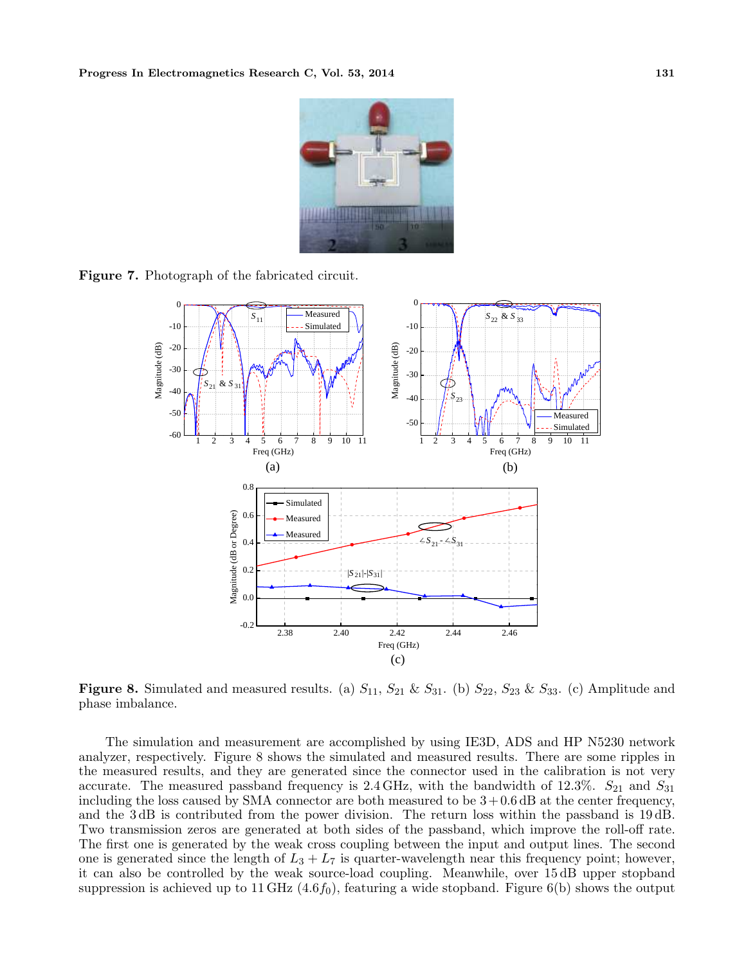

Figure 7. Photograph of the fabricated circuit.



Figure 8. Simulated and measured results. (a)  $S_{11}$ ,  $S_{21}$  &  $S_{31}$ . (b)  $S_{22}$ ,  $S_{23}$  &  $S_{33}$ . (c) Amplitude and phase imbalance.

The simulation and measurement are accomplished by using IE3D, ADS and HP N5230 network analyzer, respectively. Figure 8 shows the simulated and measured results. There are some ripples in the measured results, and they are generated since the connector used in the calibration is not very accurate. The measured passband frequency is 2.4 GHz, with the bandwidth of 12.3%.  $S_{21}$  and  $S_{31}$ including the loss caused by SMA connector are both measured to be  $3+0.6$  dB at the center frequency, and the 3 dB is contributed from the power division. The return loss within the passband is 19 dB. Two transmission zeros are generated at both sides of the passband, which improve the roll-off rate. The first one is generated by the weak cross coupling between the input and output lines. The second one is generated since the length of  $L_3 + L_7$  is quarter-wavelength near this frequency point; however, it can also be controlled by the weak source-load coupling. Meanwhile, over 15 dB upper stopband suppression is achieved up to 11 GHz  $(4.6f_0)$ , featuring a wide stopband. Figure 6(b) shows the output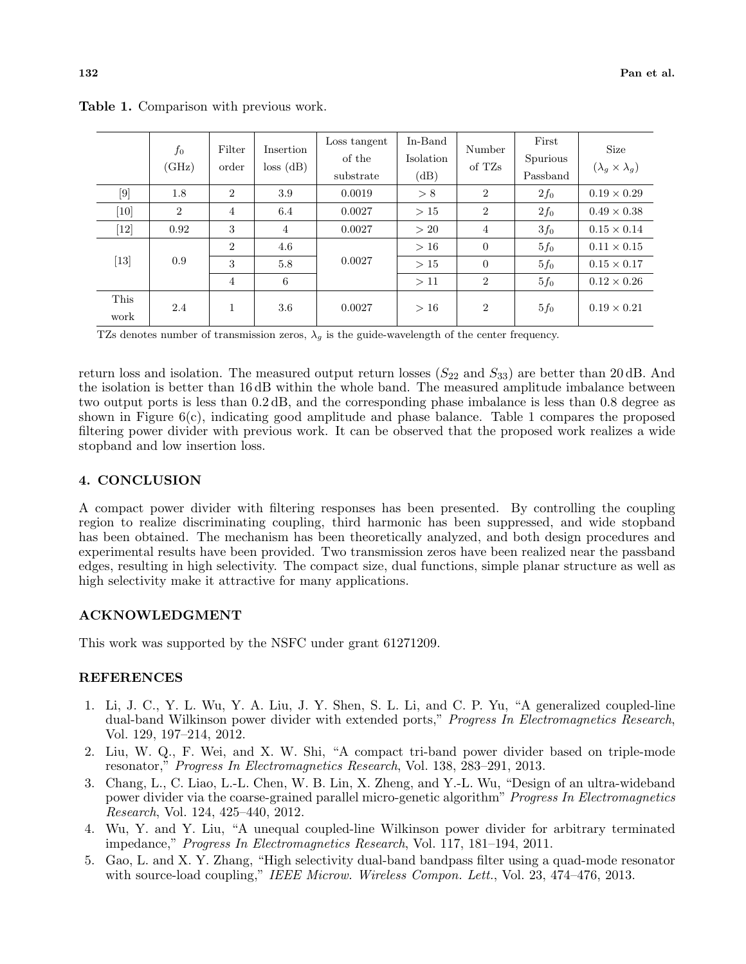|              | $f_{0}$<br>(GHz) | Filter<br>order | Insertion<br>loss (dB) | Loss tangent<br>of the<br>substrate | In-Band<br>Isolation<br>(dB) | Number<br>of TZs | First<br>Spurious<br>Passband | <b>Size</b><br>$(\lambda_g \times \lambda_g)$ |
|--------------|------------------|-----------------|------------------------|-------------------------------------|------------------------------|------------------|-------------------------------|-----------------------------------------------|
| $[9]$        | 1.8              | $\overline{2}$  | 3.9                    | 0.0019                              | > 8                          | $\overline{2}$   | $2f_0$                        | $0.19 \times 0.29$                            |
| $[10]$       | $\overline{2}$   | $\overline{4}$  | 6.4                    | 0.0027                              | >15                          | $\overline{2}$   | $2f_0$                        | $0.49 \times 0.38$                            |
| $[12]$       | 0.92             | 3               | $\overline{4}$         | 0.0027                              | >20                          | $\overline{4}$   | 3f <sub>0</sub>               | $0.15 \times 0.14$                            |
|              |                  | $\overline{2}$  | 4.6                    |                                     | >16                          | $\overline{0}$   | 5f <sub>0</sub>               | $0.11 \times 0.15$                            |
| $[13]$       | 0.9              | 3               | 5.8                    | 0.0027                              | >15                          | $\theta$         | $5f_0$                        | $0.15 \times 0.17$                            |
|              |                  | $\overline{4}$  | 6                      |                                     | >11                          | $\overline{2}$   | $5f_0$                        | $0.12 \times 0.26$                            |
| This<br>work | 2.4              | 1               | $3.6\,$                | 0.0027                              | >16                          | $\overline{2}$   | $5f_0$                        | $0.19 \times 0.21$                            |

Table 1. Comparison with previous work.

TZs denotes number of transmission zeros,  $\lambda_g$  is the guide-wavelength of the center frequency.

return loss and isolation. The measured output return losses  $(S_{22}$  and  $S_{33})$  are better than 20 dB. And the isolation is better than 16 dB within the whole band. The measured amplitude imbalance between two output ports is less than 0.2 dB, and the corresponding phase imbalance is less than 0.8 degree as shown in Figure  $6(c)$ , indicating good amplitude and phase balance. Table 1 compares the proposed filtering power divider with previous work. It can be observed that the proposed work realizes a wide stopband and low insertion loss.

## 4. CONCLUSION

A compact power divider with filtering responses has been presented. By controlling the coupling region to realize discriminating coupling, third harmonic has been suppressed, and wide stopband has been obtained. The mechanism has been theoretically analyzed, and both design procedures and experimental results have been provided. Two transmission zeros have been realized near the passband edges, resulting in high selectivity. The compact size, dual functions, simple planar structure as well as high selectivity make it attractive for many applications.

# ACKNOWLEDGMENT

This work was supported by the NSFC under grant 61271209.

#### REFERENCES

- 1. Li, J. C., Y. L. Wu, Y. A. Liu, J. Y. Shen, S. L. Li, and C. P. Yu, "A generalized coupled-line dual-band Wilkinson power divider with extended ports," Progress In Electromagnetics Research, Vol. 129, 197–214, 2012.
- 2. Liu, W. Q., F. Wei, and X. W. Shi, "A compact tri-band power divider based on triple-mode resonator," Progress In Electromagnetics Research, Vol. 138, 283–291, 2013.
- 3. Chang, L., C. Liao, L.-L. Chen, W. B. Lin, X. Zheng, and Y.-L. Wu, "Design of an ultra-wideband power divider via the coarse-grained parallel micro-genetic algorithm" Progress In Electromagnetics Research, Vol. 124, 425–440, 2012.
- 4. Wu, Y. and Y. Liu, "A unequal coupled-line Wilkinson power divider for arbitrary terminated impedance," Progress In Electromagnetics Research, Vol. 117, 181–194, 2011.
- 5. Gao, L. and X. Y. Zhang, "High selectivity dual-band bandpass filter using a quad-mode resonator with source-load coupling," IEEE Microw. Wireless Compon. Lett., Vol. 23, 474–476, 2013.